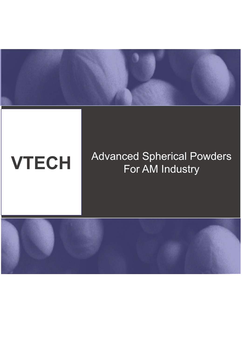

### **VTECH** Advanced Spherical Powders For AM Industry

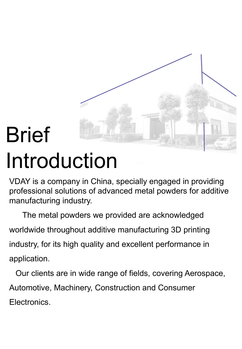

# Brief Introduction

VDAY is a company in China, specially engaged in providing professional solutions of advanced metal powders for additive manufacturing industry.

 The metal powders we provided are acknowledged worldwide throughout additive manufacturing 3D printing industry, for its high quality and excellent performance in application.

Our clients are in wide range of fields, covering Aerospace, Automotive, Machinery, Construction and Consumer Electronics.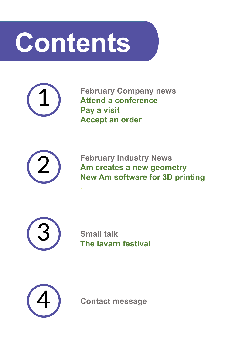# **Contents**

.



**February Company news Attend a conference Pay a visit Accept an order**



**February Industry News Am creates a new geometry New Am software for 3D printing**



**Small talk The lavarn festival**



**Contact message**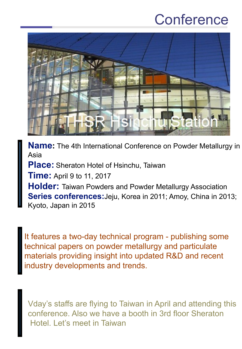### **Conference**



**Name:** The 4th International Conference on Powder Metallurgy in Asia **Place:** Sheraton Hotel of Hsinchu, Taiwan **Time:** April 9 to 11, 2017 **Holder:** Taiwan Powders and Powder Metallurgy Association **Series conferences:**Jeju, Korea in 2011; Amoy, China in 2013; Kyoto, Japan in 2015

It features a two-day technical program - publishing some technical papers on powder metallurgy and particulate materials providing insight into updated R&D and recent industry developments and trends.

Vday's staffs are flying to Taiwan in April and attending this conference. Also we have a booth in 3rd floor Sheraton Hotel. Let's meet in Taiwan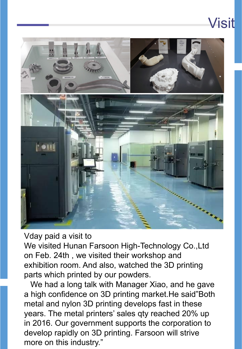# $\sim$

Visit

### Vday paid a visit to

We visited Hunan Farsoon High-Technology Co.,Ltd on Feb. 24th , we visited their workshop and exhibition room. And also, watched the 3D printing parts which printed by our powders.

We had a long talk with Manager Xiao, and he gave a high confidence on 3D printing market.He said"Both metal and nylon 3D printing develops fast in these years. The metal printers' sales qty reached 20% up in 2016. Our government supports the corporation to develop rapidly on 3D printing. Farsoon will strive more on this industry."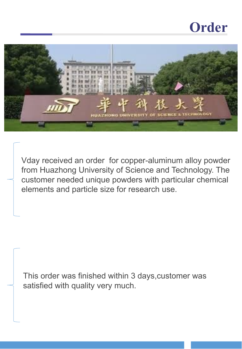### **Order**



Vday received an order for copper-aluminum alloy powder from Huazhong University of Science and Technology. The customer needed unique powders with particular chemical elements and particle size for research use.

This order was finished within 3 days,customer was satisfied with quality very much.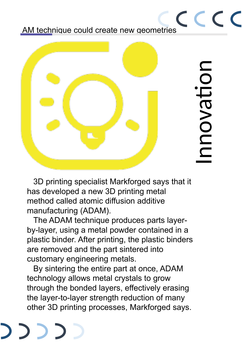AM technique could create new geometries



CCCC

3D printing specialist Markforged says that it has developed a new 3D printing metal method called atomic diffusion additive manufacturing (ADAM).

The ADAM technique produces parts layerby-layer, using a metal powder contained in a plastic binder. After printing, the plastic binders are removed and the part sintered into customary engineering metals.

By sintering the entire part at once, ADAM technology allows metal crystals to grow through the bonded layers, effectively erasing the layer-to-layer strength reduction of many other 3D printing processes, Markforged says.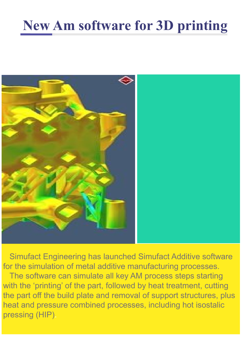## **New Am software for 3D printing**



Simufact Engineering has launched Simufact Additive software for the simulation of metal additive manufacturing processes. The software can simulate all key AM process steps starting with the 'printing' of the part, followed by heat treatment, cutting the part off the build plate and removal of support structures, plus heat and pressure combined processes, including hot isostalic pressing (HIP).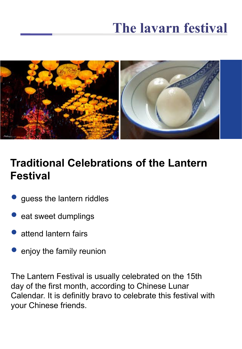### **The lavarn festival**



### **Traditional Celebrations of the Lantern Festival**

- guess the lantern riddles
- eat sweet dumplings
- attend lantern fairs
- enjoy the family reunion

The Lantern Festival is usually celebrated on the 15th day of the first month, according to Chinese Lunar Calendar. It is definitly bravo to celebrate this festival with your Chinese friends.